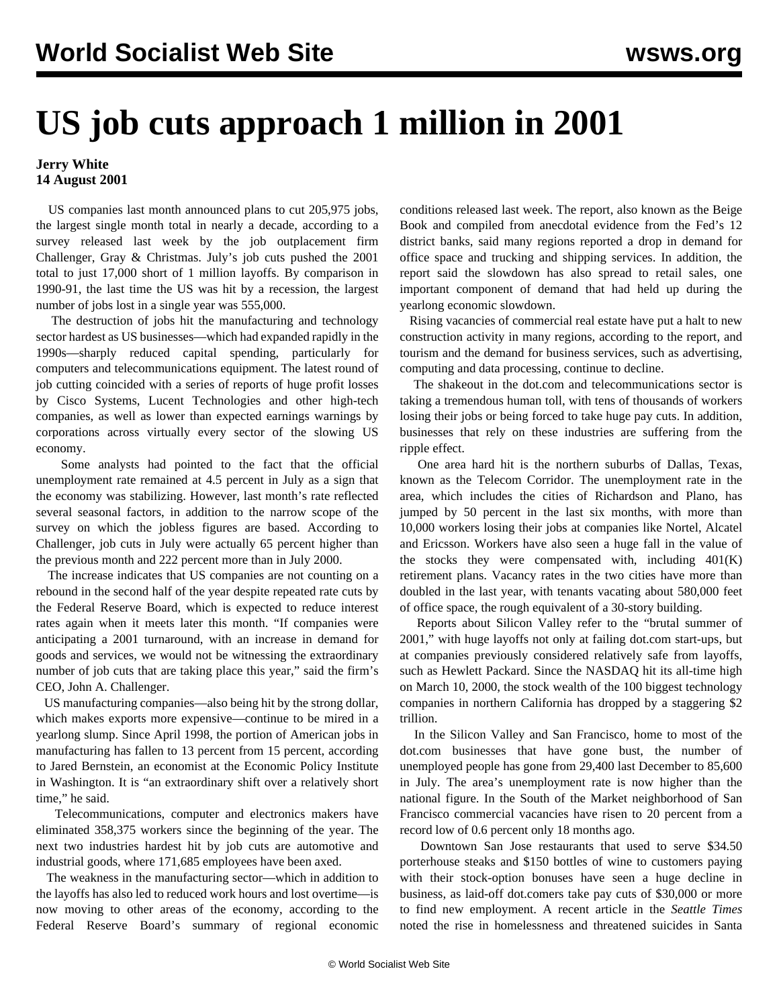## **US job cuts approach 1 million in 2001**

## **Jerry White 14 August 2001**

 US companies last month announced plans to cut 205,975 jobs, the largest single month total in nearly a decade, according to a survey released last week by the job outplacement firm Challenger, Gray & Christmas. July's job cuts pushed the 2001 total to just 17,000 short of 1 million layoffs. By comparison in 1990-91, the last time the US was hit by a recession, the largest number of jobs lost in a single year was 555,000.

 The destruction of jobs hit the manufacturing and technology sector hardest as US businesses—which had expanded rapidly in the 1990s—sharply reduced capital spending, particularly for computers and telecommunications equipment. The latest round of job cutting coincided with a series of reports of huge profit losses by Cisco Systems, Lucent Technologies and other high-tech companies, as well as lower than expected earnings warnings by corporations across virtually every sector of the slowing US economy.

 Some analysts had pointed to the fact that the official unemployment rate remained at 4.5 percent in July as a sign that the economy was stabilizing. However, last month's rate reflected several seasonal factors, in addition to the narrow scope of the survey on which the jobless figures are based. According to Challenger, job cuts in July were actually 65 percent higher than the previous month and 222 percent more than in July 2000.

 The increase indicates that US companies are not counting on a rebound in the second half of the year despite repeated rate cuts by the Federal Reserve Board, which is expected to reduce interest rates again when it meets later this month. "If companies were anticipating a 2001 turnaround, with an increase in demand for goods and services, we would not be witnessing the extraordinary number of job cuts that are taking place this year," said the firm's CEO, John A. Challenger.

 US manufacturing companies—also being hit by the strong dollar, which makes exports more expensive—continue to be mired in a yearlong slump. Since April 1998, the portion of American jobs in manufacturing has fallen to 13 percent from 15 percent, according to Jared Bernstein, an economist at the Economic Policy Institute in Washington. It is "an extraordinary shift over a relatively short time," he said.

 Telecommunications, computer and electronics makers have eliminated 358,375 workers since the beginning of the year. The next two industries hardest hit by job cuts are automotive and industrial goods, where 171,685 employees have been axed.

 The weakness in the manufacturing sector—which in addition to the layoffs has also led to reduced work hours and lost overtime—is now moving to other areas of the economy, according to the Federal Reserve Board's summary of regional economic

conditions released last week. The report, also known as the Beige Book and compiled from anecdotal evidence from the Fed's 12 district banks, said many regions reported a drop in demand for office space and trucking and shipping services. In addition, the report said the slowdown has also spread to retail sales, one important component of demand that had held up during the yearlong economic slowdown.

 Rising vacancies of commercial real estate have put a halt to new construction activity in many regions, according to the report, and tourism and the demand for business services, such as advertising, computing and data processing, continue to decline.

 The shakeout in the dot.com and telecommunications sector is taking a tremendous human toll, with tens of thousands of workers losing their jobs or being forced to take huge pay cuts. In addition, businesses that rely on these industries are suffering from the ripple effect.

 One area hard hit is the northern suburbs of Dallas, Texas, known as the Telecom Corridor. The unemployment rate in the area, which includes the cities of Richardson and Plano, has jumped by 50 percent in the last six months, with more than 10,000 workers losing their jobs at companies like Nortel, Alcatel and Ericsson. Workers have also seen a huge fall in the value of the stocks they were compensated with, including 401(K) retirement plans. Vacancy rates in the two cities have more than doubled in the last year, with tenants vacating about 580,000 feet of office space, the rough equivalent of a 30-story building.

 Reports about Silicon Valley refer to the "brutal summer of 2001," with huge layoffs not only at failing dot.com start-ups, but at companies previously considered relatively safe from layoffs, such as Hewlett Packard. Since the NASDAQ hit its all-time high on March 10, 2000, the stock wealth of the 100 biggest technology companies in northern California has dropped by a staggering \$2 trillion.

 In the Silicon Valley and San Francisco, home to most of the dot.com businesses that have gone bust, the number of unemployed people has gone from 29,400 last December to 85,600 in July. The area's unemployment rate is now higher than the national figure. In the South of the Market neighborhood of San Francisco commercial vacancies have risen to 20 percent from a record low of 0.6 percent only 18 months ago.

 Downtown San Jose restaurants that used to serve \$34.50 porterhouse steaks and \$150 bottles of wine to customers paying with their stock-option bonuses have seen a huge decline in business, as laid-off dot.comers take pay cuts of \$30,000 or more to find new employment. A recent article in the *Seattle Times* noted the rise in homelessness and threatened suicides in Santa